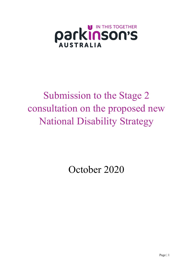

# Submission to the Stage 2 consultation on the proposed new National Disability Strategy

October 2020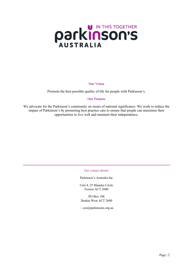# **PACKINSON'S**

#### **Our Vision**

Promote the best possible quality of life for people with Parkinson's.

#### **Our Purpose**

We advocate for the Parkinson's community on issues of national significance. We work to reduce the impact of Parkinson's by promoting best practice care to ensure that people can maximise their opportunities to live well and maintain their independence.

#### Our contact details

Parkinson's Australia Inc

Unit 4, 25 Manuka Circle Forrest ACT 2600

PO Box 108 Deakin West ACT 2600

□ ceo@parkinsons.org.au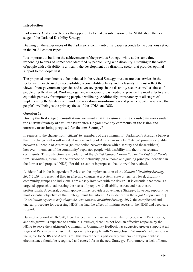### **Introduction**

Parkinson's Australia welcomes the opportunity to make a submission to the NDIA about the next stage of the National Disability Strategy.

Drawing on the experiences of the Parkinson's community, this paper responds to the questions set out in the NDS Position Paper.

It is important to build on the achievements of the previous Strategy, while at the same time responding to areas of unmet need identified by people living with disability. Listening to the voices of people with a disability is critical in the development of a disability sector that provides optimal support to the people in it.

The proposed amendments to be included in the revised Strategy must ensure that services in the sector are characterised by accessibility, accountability, clarity and inclusivity. It must reflect the views of non-government agencies and advocacy groups in the disability sector, as well as those of people directly affected. Working together, in cooperation, is needed to provide the most effective and equitable pathway for improving people's wellbeing. Additionally, transparency at all stages of implementing the Strategy will work to break down misinformation and provide greater assurance that people's wellbeing is the primary focus of the NDIA and DSS.

#### **Question 1:**

# **During the first stage of consultations we heard that the vision and the six outcome areas under the current Strategy are still the right ones. Do you have any comments on the vision and outcome areas being proposed for the new Strategy?**

In regards to the change from 'citizen' to 'members of the community', Parkinson's Australia believes that this change will result in a dual understanding of Australian society. 'Citizen' promotes equality between all people of Australia (no distinction between those with disability and those without); however, 'members of the community' separates people with disability into their own separate community. This distinction is in violation of the *United Nations Convention on the Rights of People with Disabilities*, as well as the purpose of inclusivity (an outcome and guiding principle identified in the former and proposed NDS). For this reason, it is proposed that 'citizen' be retained.

As identified in the Independent Review on the implementation of the *National Disability Strategy 2010-2020,* it is essential that, in effecting changes at a system, state or territory level, disability community groups and individuals are closely involved with the design. It is essential that there is a targeted approach to addressing the needs of people with disability, carers and health care professionals. A general, overall approach may provide a governance Strategy; however, support (the most essential objective of the Strategy) must be tailored. As evidenced in the *Right to opportunity | Consultation report to help shape the next national disability Strategy 2019,* the complicated and unclear procedure for accessing NDIS has had the effect of limiting access to the NDIS and aged care support.

During the period 2010-2020, there has been an increase in the number of people with Parkinson's, and this growth is expected to continue. However, there has not been an effective response by the NDIA to serve the Parkinson's Community. Community feedback has suggested greater support at all stages of Parkinson's is essential; especially for people with Young Onset Parkinson's, who are often ineligible for NDIS and Aged Care. This makes them a particularly vulnerable subgroup whose circumstance should be recognised and catered for in the new Strategy. Furthermore, a lack of home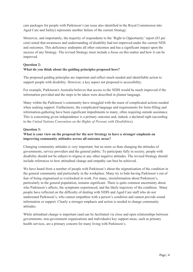care packages for people with Parkinson's (an issue also identified in the Royal Commission into Aged Care and Safety) represents another failure of the current Strategy.

Moreover, and importantly, the majority of respondents to the 'Right to Opportunity' report (83 per cent) noted that awareness and understanding of disability had not improved under the current NDS and outcomes. This deficiency underpins all other outcomes and has a significant impact upon the success of any Strategy. The revised Strategy must include a focus on this matter and how it can be improved.

# **Question 2:**

# **What do you think about the guiding principles proposed here?**

The proposed guiding principles are important and reflect much needed and identifiable action to support people with disability. However, a key aspect not proposed is accessibility.

For example, Parkinson's Australia believes that access to the NDIS would be much improved if the information provided and the steps to be taken were described in plainer language.

Many within the Parkinson's community have struggled with the maze of complicated actions needed when seeking support. Furthermore, the complicated language and requirements for form-filling and information-gathering have been significant impediments to many; often requiring outside assistance. This is concerning given independence is a primary outcome and, indeed, a declared right (according to the *United Nations Convention on the Rights of Persons with Disabilities*).

# **Question 3:**

# **What is your view on the proposal for the new Strategy to have a stronger emphasis on improving community attitudes across all outcome areas?**

Changing community attitudes is very important; but no more so than changing the attitudes of governments, service providers and the general public. To participate fully in society, people with disability should not be subject to stigma or any other negative attitudes. The revised Strategy should include references to how attitudinal change and empathy can best be achieved.

We have heard from a number of people with Parkinson's about the stigmatisation of the condition in the general community and particularly in the workplace. Many try to hide having Parkinson's out of fear of being stigmatised or overlooked in work. For many, misinformation about Parkinson's, particularly in the general population, remains significant. There is quite common uncertainty about who Parkinson's affects, the symptoms experienced, and the likely trajectory of the condition. Many people have reflected on the difficulty of dealing with NDIS and Aged Care staff who do not understand Parkinson's, who cannot empathise with a person's condition and cannot provide sound information or support. Clearly a stronger emphasis and action is needed to change community attitudes.

While attitudinal change is important (and can be facilitated via close and open relationships between governments, non-government organisations and individuals) key support areas, such as primary health services, are a primary concern for many living with Parkinson's.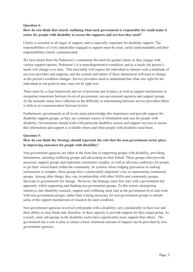# **Question 4:**

# **How do you think that clearly outlining what each government is responsible for could make it easier for people with disability to access the supports and services they need?**

Clarity is essential at all stages of support, and is especially important for disability support. The responsibilities of every stakeholder engaged in support must be clear, easily understandable and their responsibilities clearly communicated.

We have heard from the Parkinson's community the need for greater clarity as they engage with various support options. Parkinson's is a neurodegenerative condition, and as a result, the person's needs will change over time. This inevitably will require the individual to interact with a multitude of services providers and supports, and the content and nature of these interactions will need to change as the person's condition changes. Service providers need to understand that what was right for the individual at one point in time, may not be right now.

There must be a clear framework and set of processes put in place, as well as support mechanisms to streamline transitions between levels of government, non-government agencies and support groups. At the moment, many have reflected on the difficulty in transitioning between service providers (there is little to no communication between levels).

Furthermore, governments at all levels must acknowledge this importance and provide support for disability support groups, as they are a primary source of information and care for people with disability. Governments should work with particular disability sectors and support services to ensure that information and support is available where and when people with disability need them.

#### **Question 5:**

# **How do you think the Strategy should represent the role that the non-government sector plays in improving outcomes for people with disability?**

Non-government agencies are often in the front line in supporting people with disability, providing information, assisting wellbeing groups and advocating on their behalf. These groups often provide necessary support groups and important community insights, as well as advocacy pathways for people to get their voices heard within the community. In systems where lodging grievances or seeking information is complex, these groups have a particularly important voice in representing community groups. Among other things, they can, in partnership with other NGOs and community groups, advocate to governments for change. However, the Strategy must first start with a government-led approach, whilst supporting and funding non-government groups. To this extent, strategizing initiatives into disability research, support and wellbeing must start at the government level and work with non-government groups, rather than it being necessary for non-government groups to initiate some of the support mechanisms or research for each condition.

Non-government agencies involved with people with a disability vary considerably in their size and their ability to raise funds and, therefore, in their capacity to provide support for their target group. As a result, some sub-groups in the disability sector have significantly more support than others. The government has a role to play to ensure a basic minimum amount of support can be provided by nongovernment agencies.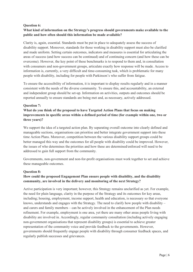## **Question 6:**

# **What kind of information on the Strategy's progress should governments make available to the public and how often should this information be made available?**

Clarity is, again, essential. Standards must be put in place to adequately assess the success of disability support. Moreover, standards for those working in disability support must also be clarified and made uniform. Setting certain outcomes, indicators and measures is essential for articulating the areas of success (and how success can be continued) and of continuing concern (and how these can be overcome). However, the key point of these benchmarks is to respond to them and, in consultation with consumers and non-government groups, articulate exactly how response will be made. Access to information is, currently, a very difficult and time-consuming task, which is problematic for many people with disability, including for people with Parkinson's who suffer from fatigue.

To ensure the accessibility of information, it is important to display results regularly and in a manner consistent with the needs of the diverse community. To ensure this, and accountability, an external and independent group should be set-up. Information on activities, outputs and outcomes should be reported annually to ensure standards are being met and, as necessary, actively addressed.

#### **Question 7:**

# **What do you think of the proposal to have Targeted Action Plans that focus on making improvements in specific areas within a defined period of time (for example within one, two or three years)?**

We support the idea of a targeted action plan. By separating overall outcome into clearly defined and manageable sections, organisations can prioritise and better integrate government support into these time Action Plans. Moreover, competition between the various disability support groups could be better managed this way and the outcomes for all people with disability could be improved. However, the issues of who determines the priorities and how these are determined/enforced will need to be addressed to gain full support from the community.

Governments, non-government and non-for-profit organisations must work together to set and achieve these manageable outcomes.

#### **Question 8:**

# **How could the proposed Engagement Plan ensure people with disability, and the disability community, are involved in the delivery and monitoring of the next Strategy?**

Active participation is very important; however, this Strategy remains unclarified as yet. For example, the need for plain language, clarity in the purpose of the Strategy and its outcomes for key areas, including; housing, employment, income support, health and education, is necessary so that everyone knows, understands and engages with the Strategy. The need to clarify how people with disability – and carers and family members – can be actively involved in the enhancement of the Plan needs refinement. For example, employment is one area, yet there are many other areas people living with disability are involved in. Accordingly, regular community consultation (including actively engaging non-government organisations that represent disability groups) is essential to achieve greater representation of the community voice and provide feedback to the governments. However, governments should frequently engage people with disability through consumer feedback spaces, and regularly publish successes and grievances.